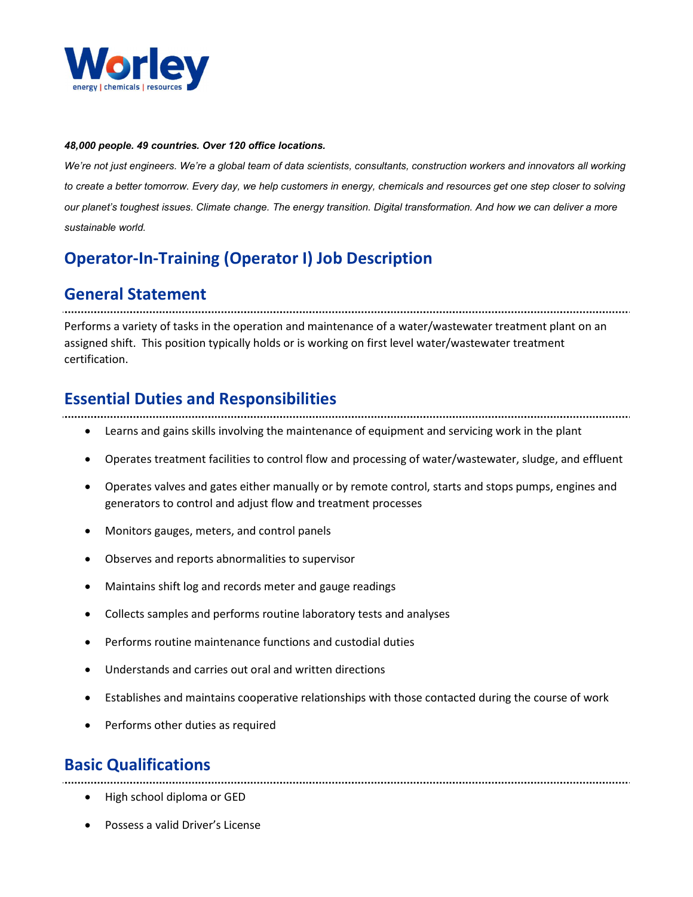

#### 48,000 people. 49 countries. Over 120 office locations.

We're not just engineers. We're a global team of data scientists, consultants, construction workers and innovators all working to create a better tomorrow. Every day, we help customers in energy, chemicals and resources get one step closer to solving our planet's toughest issues. Climate change. The energy transition. Digital transformation. And how we can deliver a more sustainable world.

## Operator-In-Training (Operator I) Job Description

## General Statement

Performs a variety of tasks in the operation and maintenance of a water/wastewater treatment plant on an assigned shift. This position typically holds or is working on first level water/wastewater treatment certification.

#### Essential Duties and Responsibilities

- Learns and gains skills involving the maintenance of equipment and servicing work in the plant
- Operates treatment facilities to control flow and processing of water/wastewater, sludge, and effluent
- Operates valves and gates either manually or by remote control, starts and stops pumps, engines and generators to control and adjust flow and treatment processes
- Monitors gauges, meters, and control panels
- Observes and reports abnormalities to supervisor
- Maintains shift log and records meter and gauge readings
- Collects samples and performs routine laboratory tests and analyses
- Performs routine maintenance functions and custodial duties
- Understands and carries out oral and written directions
- Establishes and maintains cooperative relationships with those contacted during the course of work
- Performs other duties as required

## Basic Qualifications

- High school diploma or GED
- Possess a valid Driver's License